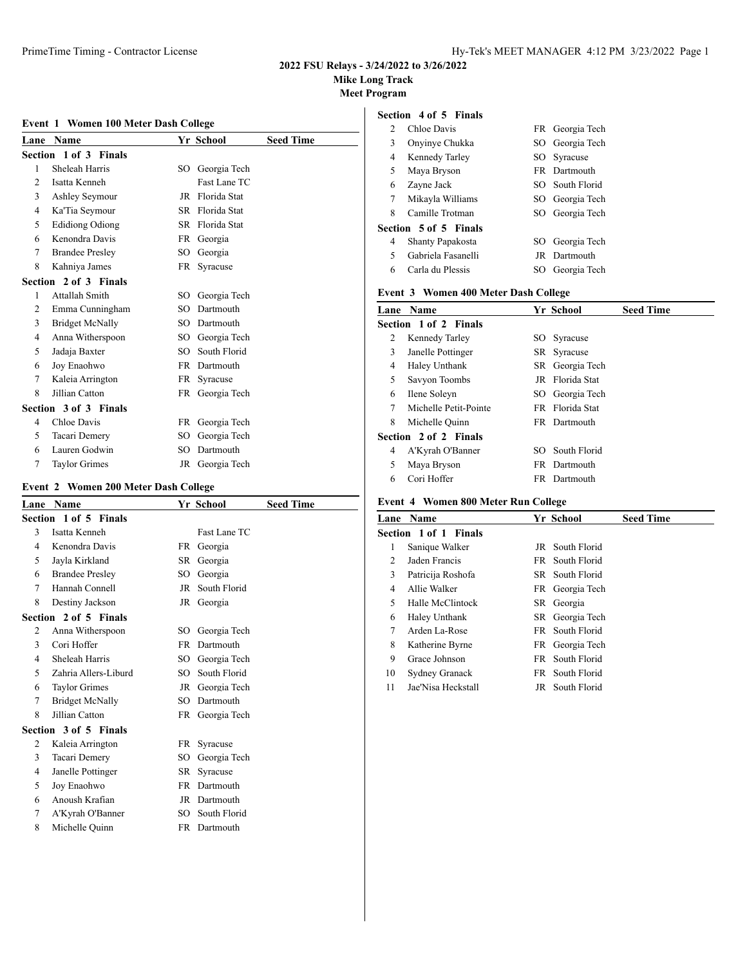# **Mike Long Track**

**Meet Program**

#### **Event 1 Women 100 Meter Dash College**

| Lane           | <b>Name</b>            |        | Yr School       | <b>Seed Time</b> |
|----------------|------------------------|--------|-----------------|------------------|
|                | Section 1 of 3 Finals  |        |                 |                  |
| 1              | Sheleah Harris         | SO     | Georgia Tech    |                  |
| $\overline{c}$ | Isatta Kenneh          |        | Fast Lane TC    |                  |
| 3              | Ashley Seymour         | JR     | Florida Stat    |                  |
| 4              | Ka'Tia Seymour         |        | SR Florida Stat |                  |
| 5              | <b>Edidiong Odiong</b> |        | SR Florida Stat |                  |
| 6              | Kenondra Davis         | FR     | Georgia         |                  |
| 7              | <b>Brandee Presley</b> | SO     | Georgia         |                  |
| 8              | Kahniya James          | FR     | Syracuse        |                  |
|                | Section 2 of 3 Finals  |        |                 |                  |
| 1              | Attallah Smith         | SО     | Georgia Tech    |                  |
| 2              | Emma Cunningham        | SO     | Dartmouth       |                  |
| 3              | <b>Bridget McNally</b> |        | SO Dartmouth    |                  |
| 4              | Anna Witherspoon       | $SO^-$ | Georgia Tech    |                  |
| 5              | Jadaja Baxter          | SO.    | South Florid    |                  |
| 6              | Joy Enaohwo            | FR -   | Dartmouth       |                  |
| 7              | Kaleia Arrington       | FR     | Syracuse        |                  |
| 8              | Jillian Catton         | FR     | Georgia Tech    |                  |
|                | Section 3 of 3 Finals  |        |                 |                  |
| 4              | Chloe Davis            | FR     | Georgia Tech    |                  |
| 5              | Tacari Demery          | SO     | Georgia Tech    |                  |
| 6              | Lauren Godwin          | SO     | Dartmouth       |                  |
| 7              | <b>Taylor Grimes</b>   | JR     | Georgia Tech    |                  |

# **Event 2 Women 200 Meter Dash College**

| Lane          | <b>Name</b>            |     | Yr School       | <b>Seed Time</b> |
|---------------|------------------------|-----|-----------------|------------------|
|               | Section 1 of 5 Finals  |     |                 |                  |
| $\mathcal{F}$ | Isatta Kenneh          |     | Fast Lane TC    |                  |
| 4             | Kenondra Davis         | FR. | Georgia         |                  |
| 5.            | Jayla Kirkland         |     | SR Georgia      |                  |
| 6             | <b>Brandee Presley</b> | SO  | Georgia         |                  |
| 7             | Hannah Connell         | JR  | South Florid    |                  |
| 8             | Destiny Jackson        | JR  | Georgia         |                  |
|               | Section 2 of 5 Finals  |     |                 |                  |
| 2             | Anna Witherspoon       | SO. | Georgia Tech    |                  |
| $\mathcal{F}$ | Cori Hoffer            |     | FR Dartmouth    |                  |
| 4             | Sheleah Harris         | SO  | Georgia Tech    |                  |
| 5             | Zahria Allers-Liburd   | SO. | South Florid    |                  |
| 6             | <b>Taylor Grimes</b>   | JR  | Georgia Tech    |                  |
| 7             | <b>Bridget McNally</b> |     | SO Dartmouth    |                  |
| 8             | Jillian Catton         |     | FR Georgia Tech |                  |
|               | Section 3 of 5 Finals  |     |                 |                  |
| 2             | Kaleia Arrington       | FR. | Syracuse        |                  |
| 3             | Tacari Demery          | SO  | Georgia Tech    |                  |
| 4             | Janelle Pottinger      | SR  | Syracuse        |                  |
| 5             | Joy Enaohwo            |     | FR Dartmouth    |                  |
| 6             | Anoush Krafian         |     | JR Dartmouth    |                  |
| 7             | A'Kyrah O'Banner       |     | SO South Florid |                  |
| 8             | Michelle Quinn         |     | FR Dartmouth    |                  |
|               |                        |     |                 |                  |

# **Section 4 of 5 Finals**

| 2 | Chloe Davis           |     | FR Georgia Tech |
|---|-----------------------|-----|-----------------|
| 3 | Onyinye Chukka        |     | SO Georgia Tech |
| 4 | Kennedy Tarley        |     | SO Syracuse     |
| 5 | Maya Bryson           |     | FR Dartmouth    |
| 6 | Zayne Jack            |     | SO South Florid |
| 7 | Mikayla Williams      |     | SO Georgia Tech |
| 8 | Camille Trotman       |     | SO Georgia Tech |
|   | Section 5 of 5 Finals |     |                 |
| 4 | Shanty Papakosta      |     | SO Georgia Tech |
| 5 | Gabriela Fasanelli    |     | JR Dartmouth    |
| 6 | Carla du Plessis      | SO. | Georgia Tech    |

#### **Event 3 Women 400 Meter Dash College**

| Lane | <b>Name</b>           |      | Yr School              | <b>Seed Time</b> |
|------|-----------------------|------|------------------------|------------------|
|      | Section 1 of 2 Finals |      |                        |                  |
| 2    | Kennedy Tarley        | SO - | Syracuse               |                  |
| 3    | Janelle Pottinger     |      | SR Syracuse            |                  |
| 4    | Haley Unthank         |      | SR Georgia Tech        |                  |
| 5    | Savyon Toombs         |      | JR Florida Stat        |                  |
| 6    | Ilene Soleyn          |      | SO Georgia Tech        |                  |
| 7    | Michelle Petit-Pointe |      | <b>FR</b> Florida Stat |                  |
| 8    | Michelle Quinn        |      | FR Dartmouth           |                  |
|      | Section 2 of 2 Finals |      |                        |                  |
| 4    | A'Kyrah O'Banner      | SO.  | South Florid           |                  |
| 5    | Maya Bryson           |      | FR Dartmouth           |                  |
| 6    | Cori Hoffer           | FR   | Dartmouth              |                  |
|      |                       |      |                        |                  |

# **Event 4 Women 800 Meter Run College**

| <b>Name</b>        |                       | <b>Seed Time</b>                                                                                                                                                                                                      |
|--------------------|-----------------------|-----------------------------------------------------------------------------------------------------------------------------------------------------------------------------------------------------------------------|
|                    |                       |                                                                                                                                                                                                                       |
| Sanique Walker     |                       |                                                                                                                                                                                                                       |
| Jaden Francis      |                       |                                                                                                                                                                                                                       |
| Patricija Roshofa  |                       |                                                                                                                                                                                                                       |
| Allie Walker       |                       |                                                                                                                                                                                                                       |
| Halle McClintock   |                       |                                                                                                                                                                                                                       |
| Haley Unthank      |                       |                                                                                                                                                                                                                       |
| Arden La-Rose      |                       |                                                                                                                                                                                                                       |
| Katherine Byrne    |                       |                                                                                                                                                                                                                       |
| Grace Johnson      |                       |                                                                                                                                                                                                                       |
| Sydney Granack     |                       |                                                                                                                                                                                                                       |
| Jae'Nisa Heckstall |                       |                                                                                                                                                                                                                       |
|                    | Section 1 of 1 Finals | Yr School<br>JR South Florid<br>FR South Florid<br>SR South Florid<br>FR Georgia Tech<br>SR Georgia<br>SR Georgia Tech<br>FR South Florid<br>FR Georgia Tech<br>FR South Florid<br>FR South Florid<br>JR South Florid |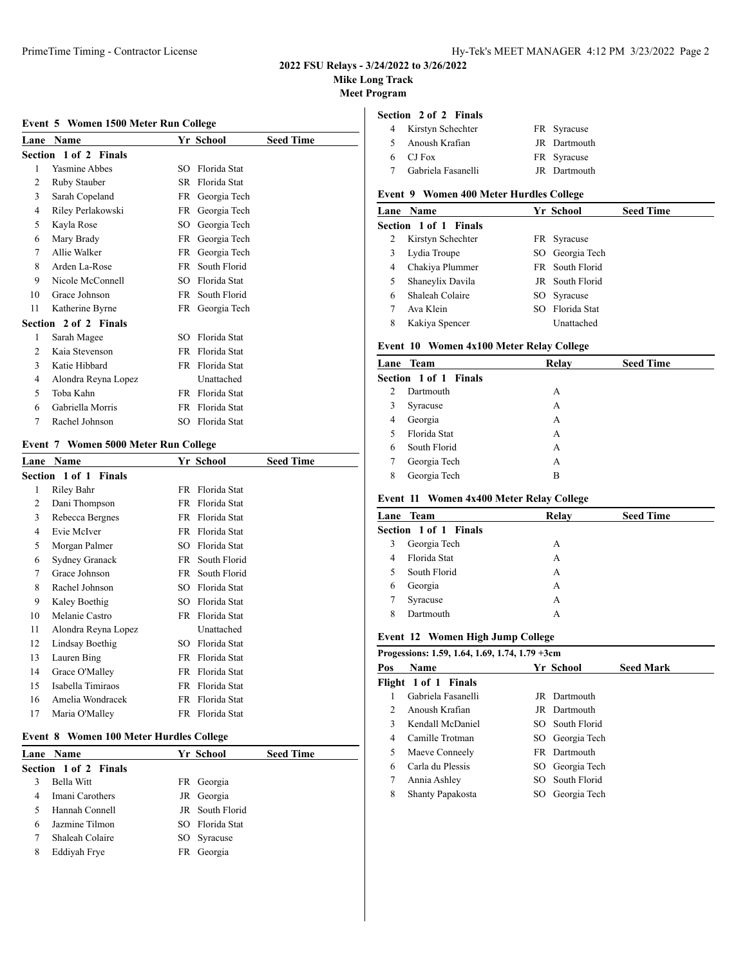# **Mike Long Track**

**Meet Program**

### **Event 5 Women 1500 Meter Run College**

| Lane | Name                         |      | Yr School       | <b>Seed Time</b> |
|------|------------------------------|------|-----------------|------------------|
|      | <b>Section 1 of 2 Finals</b> |      |                 |                  |
| 1    | <b>Yasmine Abbes</b>         | SΩ   | Florida Stat    |                  |
| 2    | Ruby Stauber                 | SR.  | Florida Stat    |                  |
| 3    | Sarah Copeland               | FR   | Georgia Tech    |                  |
| 4    | Riley Perlakowski            | FR 1 | Georgia Tech    |                  |
| 5    | Kayla Rose                   | SO   | Georgia Tech    |                  |
| 6    | Mary Brady                   | FR   | Georgia Tech    |                  |
| 7    | Allie Walker                 | FR - | Georgia Tech    |                  |
| 8    | Arden La-Rose                | FR   | South Florid    |                  |
| 9    | Nicole McConnell             | SO   | Florida Stat    |                  |
| 10   | Grace Johnson                | FR   | South Florid    |                  |
| 11   | Katherine Byrne              |      | FR Georgia Tech |                  |
|      | Section 2 of 2 Finals        |      |                 |                  |
| 1    | Sarah Magee                  | SΩ   | Florida Stat    |                  |
| 2    | Kaia Stevenson               | FR   | Florida Stat    |                  |
| 3    | Katie Hibbard                | FR   | Florida Stat    |                  |
| 4    | Alondra Reyna Lopez          |      | Unattached      |                  |
| 5    | Toba Kahn                    | FR.  | Florida Stat    |                  |
| 6    | Gabriella Morris             | FR   | Florida Stat    |                  |
| 7    | Rachel Johnson               | SO   | Florida Stat    |                  |

#### **Event 7 Women 5000 Meter Run College**

| Lane | <b>Name</b>           |     | Yr School    | <b>Seed Time</b> |
|------|-----------------------|-----|--------------|------------------|
|      | Section 1 of 1 Finals |     |              |                  |
| 1    | Riley Bahr            | FR. | Florida Stat |                  |
| 2    | Dani Thompson         | FR. | Florida Stat |                  |
| 3    | Rebecca Bergnes       | FR  | Florida Stat |                  |
| 4    | Evie McIver           | FR. | Florida Stat |                  |
| 5    | Morgan Palmer         | SO  | Florida Stat |                  |
| 6    | Sydney Granack        | FR  | South Florid |                  |
| 7    | Grace Johnson         | FR  | South Florid |                  |
| 8    | Rachel Johnson        | SO. | Florida Stat |                  |
| 9    | Kaley Boethig         | SO. | Florida Stat |                  |
| 10   | Melanie Castro        | FR  | Florida Stat |                  |
| 11   | Alondra Reyna Lopez   |     | Unattached   |                  |
| 12   | Lindsay Boethig       | SO. | Florida Stat |                  |
| 13   | Lauren Bing           | FR. | Florida Stat |                  |
| 14   | Grace O'Malley        | FR. | Florida Stat |                  |
| 15   | Isabella Timiraos     | FR. | Florida Stat |                  |
| 16   | Amelia Wondracek      | FR. | Florida Stat |                  |
| 17   | Maria O'Malley        | FR  | Florida Stat |                  |
|      |                       |     |              |                  |

### **Event 8 Women 100 Meter Hurdles College**

|   | <b>Lane</b> Name      | Yr School       | <b>Seed Time</b> |
|---|-----------------------|-----------------|------------------|
|   | Section 1 of 2 Finals |                 |                  |
|   | Bella Witt            | FR Georgia      |                  |
|   | Imani Carothers       | JR Georgia      |                  |
|   | Hannah Connell        | JR South Florid |                  |
| 6 | Jazmine Tilmon        | SO Florida Stat |                  |
|   | Shaleah Colaire       | SO Syracuse     |                  |
| 8 | Eddiyah Frye          | FR Georgia      |                  |
|   |                       |                 |                  |

### **Section 2 of 2 Finals**

| 4 Kirstyn Schechter | FR Syracuse         |
|---------------------|---------------------|
| Anoush Krafian      | JR Dartmouth        |
| 6 CJ Fox            | FR Syracuse         |
| Gabriela Fasanelli  | <b>IR</b> Dartmouth |

# **Event 9 Women 400 Meter Hurdles College**

|   | Lane Name             |     | Yr School       | <b>Seed Time</b> |
|---|-----------------------|-----|-----------------|------------------|
|   | Section 1 of 1 Finals |     |                 |                  |
| 2 | Kirstyn Schechter     |     | FR Syracuse     |                  |
| 3 | Lydia Troupe          |     | SO Georgia Tech |                  |
| 4 | Chakiya Plummer       |     | FR South Florid |                  |
| 5 | Shaneylix Davila      |     | JR South Florid |                  |
| 6 | Shaleah Colaire       |     | SO Syracuse     |                  |
|   | Ava Klein             | SO. | Florida Stat    |                  |
| 8 | Kakiya Spencer        |     | Unattached      |                  |

### **Event 10 Women 4x100 Meter Relay College**

|               | Lane Team             | Relay | <b>Seed Time</b> |
|---------------|-----------------------|-------|------------------|
|               | Section 1 of 1 Finals |       |                  |
| $\mathcal{L}$ | Dartmouth             | А     |                  |
| 3             | Syracuse              | А     |                  |
| 4             | Georgia               | А     |                  |
| 5             | Florida Stat          | А     |                  |
| 6             | South Florid          | А     |                  |
| 7             | Georgia Tech          | А     |                  |
| 8             | Georgia Tech          | B     |                  |

### **Event 11 Women 4x400 Meter Relay College**

|   | Lane Team             | Relay | <b>Seed Time</b> |  |
|---|-----------------------|-------|------------------|--|
|   | Section 1 of 1 Finals |       |                  |  |
| 3 | Georgia Tech          | А     |                  |  |
| 4 | Florida Stat          | А     |                  |  |
|   | South Florid          | А     |                  |  |
| 6 | Georgia               | А     |                  |  |
|   | Syracuse              | А     |                  |  |
| 8 | Dartmouth             | А     |                  |  |
|   |                       |       |                  |  |

# **Event 12 Women High Jump College**

|               | Progessions: 1.59, 1.64, 1.69, 1.74, 1.79 +3cm |     |                     |                  |  |
|---------------|------------------------------------------------|-----|---------------------|------------------|--|
| Pos           | <b>Name</b>                                    |     | Yr School           | <b>Seed Mark</b> |  |
|               | Flight 1 of 1 Finals                           |     |                     |                  |  |
|               | Gabriela Fasanelli                             |     | JR Dartmouth        |                  |  |
| $\mathcal{D}$ | Anoush Krafian                                 |     | <b>JR</b> Dartmouth |                  |  |
| 3             | Kendall McDaniel                               |     | SO South Florid     |                  |  |
| 4             | Camille Trotman                                |     | SO Georgia Tech     |                  |  |
| 5             | Maeve Conneely                                 |     | FR Dartmouth        |                  |  |
| 6             | Carla du Plessis                               |     | SO Georgia Tech     |                  |  |
| 7             | Annia Ashley                                   |     | SO South Florid     |                  |  |
| 8             | <b>Shanty Papakosta</b>                        | SO. | Georgia Tech        |                  |  |
|               |                                                |     |                     |                  |  |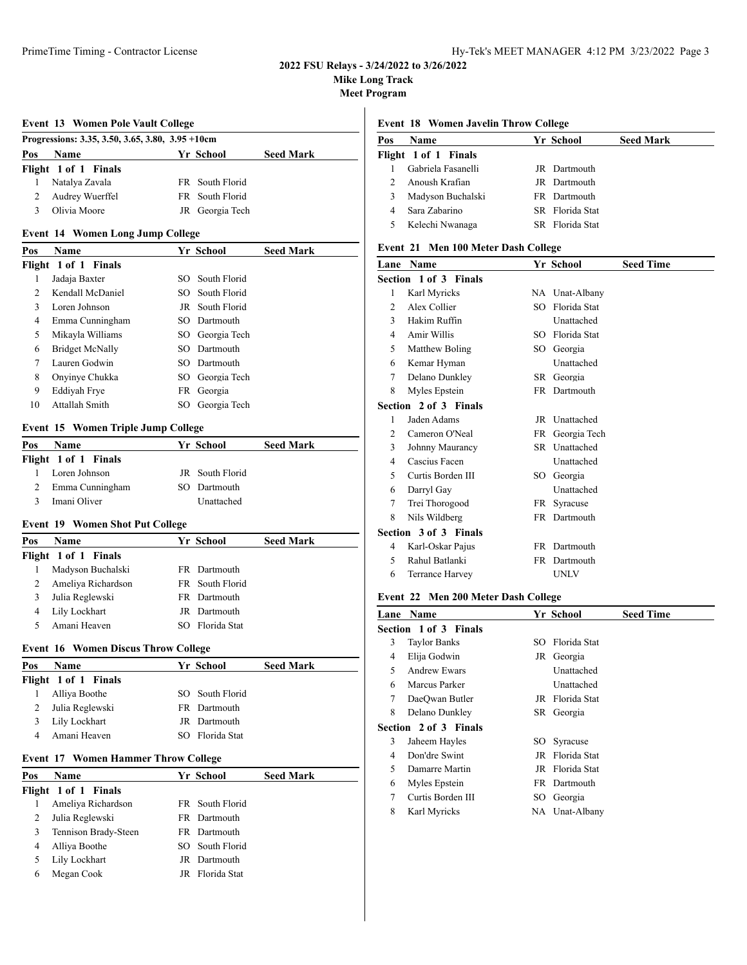**Mike Long Track**

**Meet Program**

#### **Event 13 Women Pole Vault College**

|     | Progressions: 3.35, 3.50, 3.65, 3.80, 3.95 +10cm |                 |                  |  |
|-----|--------------------------------------------------|-----------------|------------------|--|
| Pos | <b>Name</b>                                      | Yr School       | <b>Seed Mark</b> |  |
|     | Flight 1 of 1 Finals                             |                 |                  |  |
|     | Natalya Zavala                                   | FR South Florid |                  |  |
|     | Audrey Wuerffel                                  | FR South Florid |                  |  |
|     | Olivia Moore                                     | JR Georgia Tech |                  |  |

# **Event 14 Women Long Jump College**

| <b>Name</b>            |    | <b>Seed Mark</b>                                                                                                                                                                       |
|------------------------|----|----------------------------------------------------------------------------------------------------------------------------------------------------------------------------------------|
| Flight 1 of 1 Finals   |    |                                                                                                                                                                                        |
| Jadaja Baxter          |    |                                                                                                                                                                                        |
| Kendall McDaniel       |    |                                                                                                                                                                                        |
| Loren Johnson          |    |                                                                                                                                                                                        |
| Emma Cunningham        |    |                                                                                                                                                                                        |
| Mikayla Williams       |    |                                                                                                                                                                                        |
| <b>Bridget McNally</b> |    |                                                                                                                                                                                        |
| Lauren Godwin          |    |                                                                                                                                                                                        |
| Onyinye Chukka         |    |                                                                                                                                                                                        |
| Eddivah Frye           |    |                                                                                                                                                                                        |
| Attallah Smith         | SО |                                                                                                                                                                                        |
|                        |    | Yr School<br>SO South Florid<br>SO South Florid<br>JR South Florid<br>SO Dartmouth<br>SO Georgia Tech<br>SO Dartmouth<br>SO Dartmouth<br>SO Georgia Tech<br>FR Georgia<br>Georgia Tech |

### **Event 15 Women Triple Jump College**

| <b>Name</b>          |            | <b>Seed Mark</b>                             |
|----------------------|------------|----------------------------------------------|
| Flight 1 of 1 Finals |            |                                              |
| Loren Johnson        |            |                                              |
| Emma Cunningham      |            |                                              |
| Imani Oliver         | Unattached |                                              |
|                      |            | Yr School<br>JR South Florid<br>SO Dartmouth |

#### **Event 19 Women Shot Put College**

| Pos | <b>Name</b>          | Yr School       | <b>Seed Mark</b> |
|-----|----------------------|-----------------|------------------|
|     | Flight 1 of 1 Finals |                 |                  |
|     | Madyson Buchalski    | FR Dartmouth    |                  |
|     | Ameliya Richardson   | FR South Florid |                  |
|     | Julia Reglewski      | FR Dartmouth    |                  |
| 4   | Lily Lockhart        | JR Dartmouth    |                  |
|     | Amani Heaven         | SO Florida Stat |                  |

#### **Event 16 Women Discus Throw College**

| Pos | <b>Name</b>          | Yr School       | <b>Seed Mark</b> |
|-----|----------------------|-----------------|------------------|
|     | Flight 1 of 1 Finals |                 |                  |
|     | Alliya Boothe        | SO South Florid |                  |
|     | Julia Reglewski      | FR Dartmouth    |                  |
|     | Lily Lockhart        | JR Dartmouth    |                  |
|     | Amani Heaven         | SO Florida Stat |                  |

### **Event 17 Women Hammer Throw College**

| Pos | <b>Name</b>          | Yr School       | <b>Seed Mark</b> |
|-----|----------------------|-----------------|------------------|
|     | Flight 1 of 1 Finals |                 |                  |
|     | Ameliya Richardson   | FR South Florid |                  |
|     | Julia Reglewski      | FR Dartmouth    |                  |
|     | Tennison Brady-Steen | FR Dartmouth    |                  |
|     | Alliya Boothe        | SO South Florid |                  |
|     | Lily Lockhart        | JR Dartmouth    |                  |
| 6   | Megan Cook           | JR Florida Stat |                  |
|     |                      |                 |                  |

### **Event 18 Women Javelin Throw College**

| Pos | <b>Name</b>          | Yr School       | <b>Seed Mark</b> |
|-----|----------------------|-----------------|------------------|
|     | Flight 1 of 1 Finals |                 |                  |
|     | Gabriela Fasanelli   | JR Dartmouth    |                  |
|     | Anoush Krafian       | JR Dartmouth    |                  |
| 3   | Madyson Buchalski    | FR Dartmouth    |                  |
| 4   | Sara Zabarino        | SR Florida Stat |                  |
|     | Kelechi Nwanaga      | SR Florida Stat |                  |

# **Event 21 Men 100 Meter Dash College**

| Lane           | <b>Name</b>           |           | Yr School       | <b>Seed Time</b> |
|----------------|-----------------------|-----------|-----------------|------------------|
|                | Section 1 of 3 Finals |           |                 |                  |
| 1              | Karl Myricks          |           | NA Unat-Albany  |                  |
| $\mathfrak{D}$ | Alex Collier          | SO.       | Florida Stat    |                  |
| 3              | Hakim Ruffin          |           | Unattached      |                  |
| 4              | Amir Willis           | SO.       | Florida Stat    |                  |
| 5              | Matthew Boling        | SO.       | Georgia         |                  |
| 6              | Kemar Hyman           |           | Unattached      |                  |
| 7              | Delano Dunkley        |           | SR Georgia      |                  |
| 8              | Myles Epstein         |           | FR Dartmouth    |                  |
|                | Section 2 of 3 Finals |           |                 |                  |
| 1              | Jaden Adams           |           | JR Unattached   |                  |
| 2              | Cameron O'Neal        |           | FR Georgia Tech |                  |
| 3              | Johnny Maurancy       |           | SR Unattached   |                  |
| 4              | Cascius Facen         |           | Unattached      |                  |
| 5              | Curtis Borden III     | SO.       | Georgia         |                  |
| 6              | Darryl Gay            |           | Unattached      |                  |
| 7              | Trei Thorogood        | FR        | Syracuse        |                  |
| 8              | Nils Wildberg         |           | FR Dartmouth    |                  |
|                | Section 3 of 3 Finals |           |                 |                  |
| 4              | Karl-Oskar Pajus      | <b>FR</b> | Dartmouth       |                  |
| 5              | Rahul Batlanki        | FR.       | Dartmouth       |                  |
| 6              | Terrance Harvey       |           | UNLV            |                  |

#### **Event 22 Men 200 Meter Dash College**

| Lane | Name                  |     | Yr School       | <b>Seed Time</b> |
|------|-----------------------|-----|-----------------|------------------|
|      | Section 1 of 3 Finals |     |                 |                  |
| 3    | <b>Taylor Banks</b>   | SO. | Florida Stat    |                  |
| 4    | Elija Godwin          |     | JR Georgia      |                  |
| 5    | Andrew Ewars          |     | Unattached      |                  |
| 6    | Marcus Parker         |     | Unattached      |                  |
| 7    | DaeOwan Butler        |     | JR Florida Stat |                  |
| 8    | Delano Dunkley        |     | SR Georgia      |                  |
|      | Section 2 of 3 Finals |     |                 |                  |
| 3    | Jaheem Hayles         |     | SO Syracuse     |                  |
| 4    | Don'dre Swint         |     | JR Florida Stat |                  |
| 5    | Damarre Martin        | JR  | Florida Stat    |                  |
| 6    | Myles Epstein         |     | FR Dartmouth    |                  |
| 7    | Curtis Borden III     | SO. | Georgia         |                  |
| 8    | Karl Myricks          |     | NA Unat-Albany  |                  |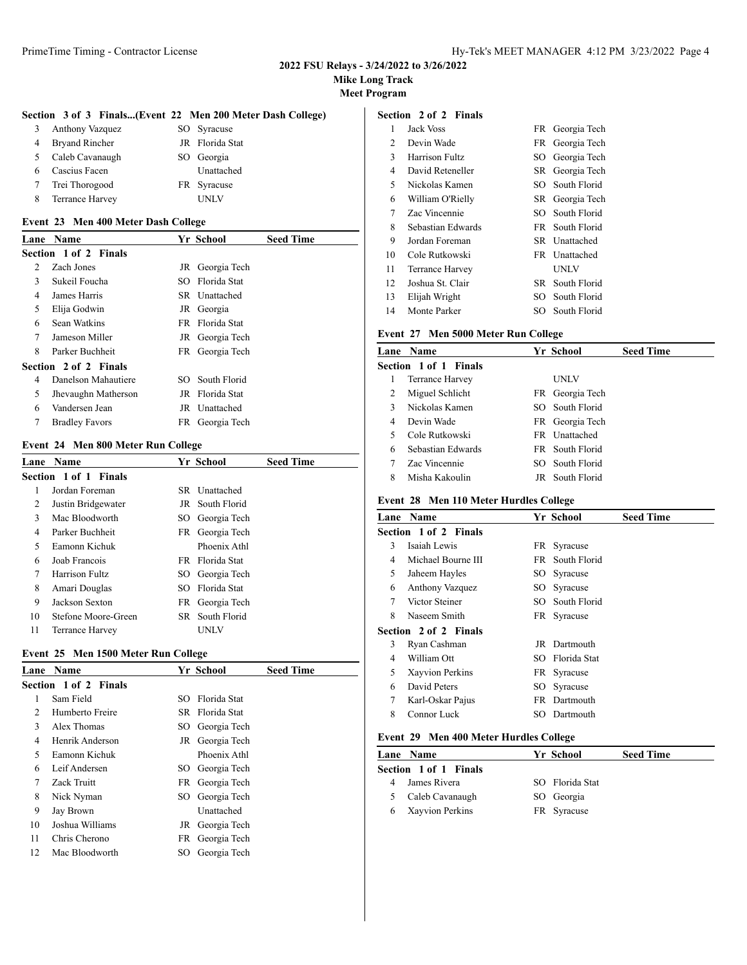### **Mike Long Track**

**Meet Program**

### **Section 3 of 3 Finals...(Event 22 Men 200 Meter Dash College)**

| 3  | Anthony Vazquez       | SO Syracuse     |
|----|-----------------------|-----------------|
|    | <b>Bryand Rincher</b> | JR Florida Stat |
| 5. | Caleb Cavanaugh       | SO Georgia      |
|    | Cascius Facen         | Unattached      |
|    | Trei Thorogood        | FR Syracuse     |
| 8  | Terrance Harvey       | I INI V         |

#### **Event 23 Men 400 Meter Dash College**

| Lane           | <b>Name</b>           |     | Yr School       | <b>Seed Time</b> |
|----------------|-----------------------|-----|-----------------|------------------|
|                |                       |     |                 |                  |
|                | Section 1 of 2 Finals |     |                 |                  |
| $\mathfrak{D}$ | Zach Jones            |     | JR Georgia Tech |                  |
| 3              | Sukeil Foucha         |     | SO Florida Stat |                  |
| 4              | James Harris          |     | SR Unattached   |                  |
| 5              | Elija Godwin          |     | JR Georgia      |                  |
| 6              | Sean Watkins          | FR. | Florida Stat    |                  |
| 7              | Jameson Miller        |     | JR Georgia Tech |                  |
| 8              | Parker Buchheit       |     | FR Georgia Tech |                  |
|                | Section 2 of 2 Finals |     |                 |                  |
| 4              | Danelson Mahautiere   |     | SO South Florid |                  |
| 5              | Jhevaughn Matherson   |     | JR Florida Stat |                  |
| 6              | Vandersen Jean        |     | JR Unattached   |                  |
| 7              | <b>Bradley Favors</b> |     | FR Georgia Tech |                  |

### **Event 24 Men 800 Meter Run College**

| Lane | <b>Name</b>           | Yr School       | <b>Seed Time</b> |  |
|------|-----------------------|-----------------|------------------|--|
|      | Section 1 of 1 Finals |                 |                  |  |
|      | Jordan Foreman        | SR Unattached   |                  |  |
| 2    | Justin Bridgewater    |                 | JR South Florid  |  |
| 3    | Mac Bloodworth        |                 | SO Georgia Tech  |  |
| 4    | Parker Buchheit       |                 | FR Georgia Tech  |  |
| 5    | Eamonn Kichuk         |                 | Phoenix Athl     |  |
| 6    | Joab Francois         | FR Florida Stat |                  |  |
| 7    | Harrison Fultz        |                 | SO Georgia Tech  |  |
| 8    | Amari Douglas         | SO Florida Stat |                  |  |
| 9    | Jackson Sexton        |                 | FR Georgia Tech  |  |
| 10   | Stefone Moore-Green   |                 | SR South Florid  |  |
| 11   | Terrance Harvey       | UNLV            |                  |  |

### **Event 25 Men 1500 Meter Run College**

| Lane | <b>Name</b>           |     | Yr School       | <b>Seed Time</b> |
|------|-----------------------|-----|-----------------|------------------|
|      | Section 1 of 2 Finals |     |                 |                  |
| 1    | Sam Field             | SO. | Florida Stat    |                  |
| 2    | Humberto Freire       |     | SR Florida Stat |                  |
| 3    | Alex Thomas           |     | SO Georgia Tech |                  |
| 4    | Henrik Anderson       |     | JR Georgia Tech |                  |
| 5    | Eamonn Kichuk         |     | Phoenix Athl    |                  |
| 6    | Leif Andersen         |     | SO Georgia Tech |                  |
| 7    | Zack Truitt           |     | FR Georgia Tech |                  |
| 8    | Nick Nyman            |     | SO Georgia Tech |                  |
| 9    | Jay Brown             |     | Unattached      |                  |
| 10   | Joshua Williams       |     | JR Georgia Tech |                  |
| 11   | Chris Cherono         |     | FR Georgia Tech |                  |
| 12   | Mac Bloodworth        | SO. | Georgia Tech    |                  |

### **Section 2 of 2 Finals**

| 1  | Jack Voss         |     | FR Georgia Tech   |
|----|-------------------|-----|-------------------|
| 2  | Devin Wade        |     | FR Georgia Tech   |
| 3  | Harrison Fultz    |     | SO Georgia Tech   |
| 4  | David Reteneller  |     | SR Georgia Tech   |
| 5  | Nickolas Kamen    |     | SO South Florid   |
| 6  | William O'Rielly  |     | SR Georgia Tech   |
| 7  | Zac Vincennie     |     | SO South Florid   |
| 8  | Sebastian Edwards |     | FR South Florid   |
| 9  | Jordan Foreman    | SR. | <b>Unattached</b> |
| 10 | Cole Rutkowski    |     | FR Unattached     |
| 11 | Terrance Harvey   |     | UNLV              |
| 12 | Joshua St. Clair  | SR. | South Florid      |
| 13 | Elijah Wright     | SO. | South Florid      |
| 14 | Monte Parker      |     | SO South Florid   |

# **Event 27 Men 5000 Meter Run College**

|   | Lane Name             | Yr School       | <b>Seed Time</b> |
|---|-----------------------|-----------------|------------------|
|   | Section 1 of 1 Finals |                 |                  |
| 1 | Terrance Harvey       | UNLV            |                  |
| 2 | Miguel Schlicht       | FR Georgia Tech |                  |
| 3 | Nickolas Kamen        | SO South Florid |                  |
| 4 | Devin Wade            | FR Georgia Tech |                  |
| 5 | Cole Rutkowski        | FR Unattached   |                  |
| 6 | Sebastian Edwards     | FR South Florid |                  |
|   | Zac Vincennie         | SO South Florid |                  |
| 8 | Misha Kakoulin        | JR South Florid |                  |

### **Event 28 Men 110 Meter Hurdles College**

| Lane | <b>Name</b>           | Yr School       | <b>Seed Time</b> |
|------|-----------------------|-----------------|------------------|
|      | Section 1 of 2 Finals |                 |                  |
| 3    | Isaiah Lewis          | FR Syracuse     |                  |
| 4    | Michael Bourne III    | FR South Florid |                  |
| 5    | Jaheem Hayles         | SO Syracuse     |                  |
| 6    | Anthony Vazquez       | SO Syracuse     |                  |
| 7    | Victor Steiner        | SO South Florid |                  |
| 8    | Naseem Smith          | FR Syracuse     |                  |
|      | Section 2 of 2 Finals |                 |                  |
| 3    | Ryan Cashman          | JR Dartmouth    |                  |
| 4    | William Ott           | SO Florida Stat |                  |
| 5    | Xayvion Perkins       | FR Syracuse     |                  |
| 6    | David Peters          | SO Syracuse     |                  |
| 7    | Karl-Oskar Pajus      | FR Dartmouth    |                  |
| 8    | Connor Luck           | SO Dartmouth    |                  |
|      |                       |                 |                  |

# **Event 29 Men 400 Meter Hurdles College**

|   | Lane Name             | Yr School       | <b>Seed Time</b> |
|---|-----------------------|-----------------|------------------|
|   | Section 1 of 1 Finals |                 |                  |
| 4 | James Rivera          | SO Florida Stat |                  |
|   | 5 Caleb Cavanaugh     | SO Georgia      |                  |
|   | 6 Xayvion Perkins     | FR Syracuse     |                  |